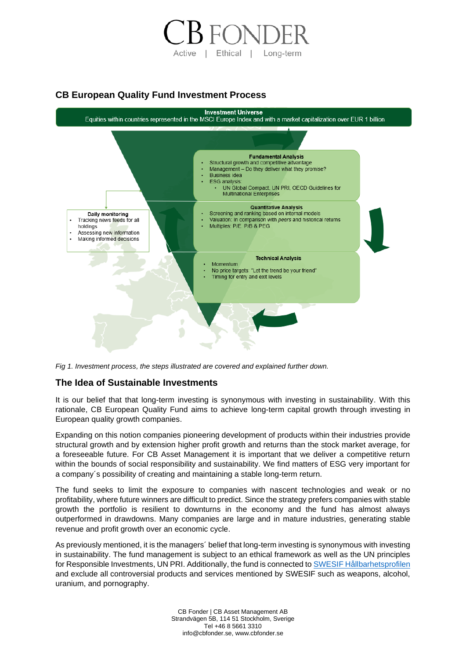

# **CB European Quality Fund Investment Process**



*Fig 1. Investment process, the steps illustrated are covered and explained further down.*

### **The Idea of Sustainable Investments**

It is our belief that that long-term investing is synonymous with investing in sustainability. With this rationale, CB European Quality Fund aims to achieve long-term capital growth through investing in European quality growth companies.

Expanding on this notion companies pioneering development of products within their industries provide structural growth and by extension higher profit growth and returns than the stock market average, for a foreseeable future. For CB Asset Management it is important that we deliver a competitive return within the bounds of social responsibility and sustainability. We find matters of ESG very important for a company´s possibility of creating and maintaining a stable long-term return.

The fund seeks to limit the exposure to companies with nascent technologies and weak or no profitability, where future winners are difficult to predict. Since the strategy prefers companies with stable growth the portfolio is resilient to downturns in the economy and the fund has almost always outperformed in drawdowns. Many companies are large and in mature industries, generating stable revenue and profit growth over an economic cycle.

As previously mentioned, it is the managers´ belief that long-term investing is synonymous with investing in sustainability. The fund management is subject to an ethical framework as well as the UN principles for Responsible Investments, UN PRI. Additionally, the fund is connected t[o SWESIF Hållbarhetsprofilen](https://www.hallbarhetsprofilen.se/fund.html?isin=LU0354788688) and exclude all controversial products and services mentioned by SWESIF such as weapons, alcohol, uranium, and pornography.

> CB Fonder | CB Asset Management AB Strandvägen 5B, 114 51 Stockholm, Sverige Tel +46 8 5661 3310 info@cbfonder.se, www.cbfonder.se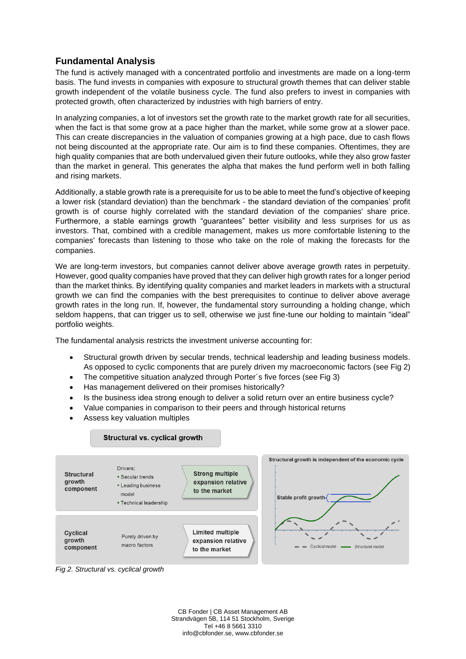# **Fundamental Analysis**

The fund is actively managed with a concentrated portfolio and investments are made on a long-term basis. The fund invests in companies with exposure to structural growth themes that can deliver stable growth independent of the volatile business cycle. The fund also prefers to invest in companies with protected growth, often characterized by industries with high barriers of entry.

In analyzing companies, a lot of investors set the growth rate to the market growth rate for all securities, when the fact is that some grow at a pace higher than the market, while some grow at a slower pace. This can create discrepancies in the valuation of companies growing at a high pace, due to cash flows not being discounted at the appropriate rate. Our aim is to find these companies. Oftentimes, they are high quality companies that are both undervalued given their future outlooks, while they also grow faster than the market in general. This generates the alpha that makes the fund perform well in both falling and rising markets.

Additionally, a stable growth rate is a prerequisite for us to be able to meet the fund's objective of keeping a lower risk (standard deviation) than the benchmark - the standard deviation of the companies' profit growth is of course highly correlated with the standard deviation of the companies' share price. Furthermore, a stable earnings growth "guarantees" better visibility and less surprises for us as investors. That, combined with a credible management, makes us more comfortable listening to the companies' forecasts than listening to those who take on the role of making the forecasts for the companies.

We are long-term investors, but companies cannot deliver above average growth rates in perpetuity. However, good quality companies have proved that they can deliver high growth rates for a longer period than the market thinks. By identifying quality companies and market leaders in markets with a structural growth we can find the companies with the best prerequisites to continue to deliver above average growth rates in the long run. If, however, the fundamental story surrounding a holding change, which seldom happens, that can trigger us to sell, otherwise we just fine-tune our holding to maintain "ideal" portfolio weights.

The fundamental analysis restricts the investment universe accounting for:

- Structural growth driven by secular trends, technical leadership and leading business models. As opposed to cyclic components that are purely driven my macroeconomic factors (see Fig 2)
- The competitive situation analyzed through Porter's five forces (see Fig 3)
- Has management delivered on their promises historically?
- Is the business idea strong enough to deliver a solid return over an entire business cycle?
- Value companies in comparison to their peers and through historical returns
- Assess key valuation multiples



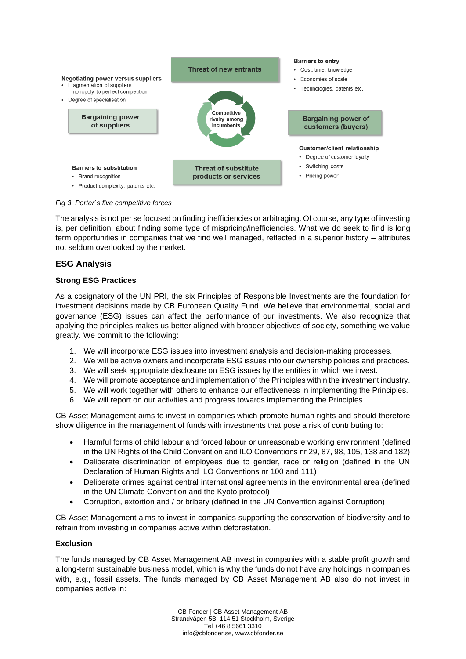

*Fig 3. Porter´s five competitive forces*

The analysis is not per se focused on finding inefficiencies or arbitraging. Of course, any type of investing is, per definition, about finding some type of mispricing/inefficiencies. What we do seek to find is long term opportunities in companies that we find well managed, reflected in a superior history – attributes not seldom overlooked by the market.

### **ESG Analysis**

#### **Strong ESG Practices**

As a cosignatory of the UN PRI, the six Principles of Responsible Investments are the foundation for investment decisions made by CB European Quality Fund. We believe that environmental, social and governance (ESG) issues can affect the performance of our investments. We also recognize that applying the principles makes us better aligned with broader objectives of society, something we value greatly. We commit to the following:

- 1. We will incorporate ESG issues into investment analysis and decision-making processes.
- 2. We will be active owners and incorporate ESG issues into our ownership policies and practices.
- 3. We will seek appropriate disclosure on ESG issues by the entities in which we invest.
- 4. We will promote acceptance and implementation of the Principles within the investment industry.
- 5. We will work together with others to enhance our effectiveness in implementing the Principles.
- 6. We will report on our activities and progress towards implementing the Principles.

CB Asset Management aims to invest in companies which promote human rights and should therefore show diligence in the management of funds with investments that pose a risk of contributing to:

- Harmful forms of child labour and forced labour or unreasonable working environment (defined in the UN Rights of the Child Convention and ILO Conventions nr 29, 87, 98, 105, 138 and 182)
- Deliberate discrimination of employees due to gender, race or religion (defined in the UN Declaration of Human Rights and ILO Conventions nr 100 and 111)
- Deliberate crimes against central international agreements in the environmental area (defined in the UN Climate Convention and the Kyoto protocol)
- Corruption, extortion and / or bribery (defined in the UN Convention against Corruption)

CB Asset Management aims to invest in companies supporting the conservation of biodiversity and to refrain from investing in companies active within deforestation.

### **Exclusion**

The funds managed by CB Asset Management AB invest in companies with a stable profit growth and a long-term sustainable business model, which is why the funds do not have any holdings in companies with, e.g., fossil assets. The funds managed by CB Asset Management AB also do not invest in companies active in:

> CB Fonder | CB Asset Management AB Strandvägen 5B, 114 51 Stockholm, Sverige Tel +46 8 5661 3310 info@cbfonder.se, www.cbfonder.se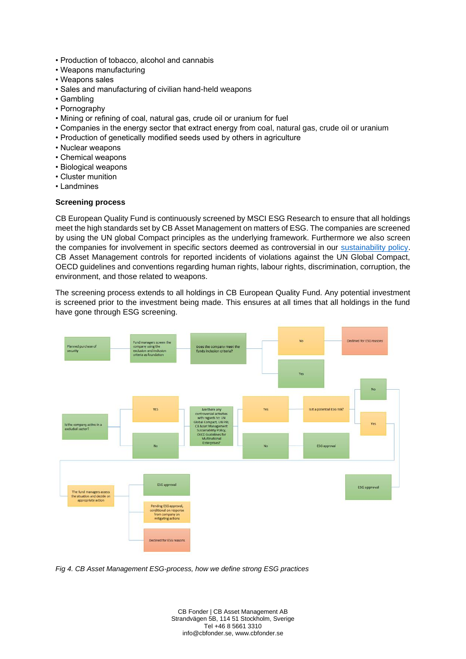- Production of tobacco, alcohol and cannabis
- Weapons manufacturing
- Weapons sales
- Sales and manufacturing of civilian hand-held weapons
- Gambling
- Pornography
- Mining or refining of coal, natural gas, crude oil or uranium for fuel
- Companies in the energy sector that extract energy from coal, natural gas, crude oil or uranium
- Production of genetically modified seeds used by others in agriculture
- Nuclear weapons
- Chemical weapons
- Biological weapons
- Cluster munition
- Landmines

#### **Screening process**

CB European Quality Fund is continuously screened by MSCI ESG Research to ensure that all holdings meet the high standards set by CB Asset Management on matters of ESG. The companies are screened by using the UN global Compact principles as the underlying framework. Furthermore we also screen the companies for involvement in specific sectors deemed as controversial in our [sustainability policy.](https://www.cbfonder.se/images/stories/cb/PDF/om_cb_asset_management/Sustainability_policy_for_CB_Asset_Management.pdf) CB Asset Management controls for reported incidents of violations against the UN Global Compact, OECD guidelines and conventions regarding human rights, labour rights, discrimination, corruption, the environment, and those related to weapons.

The screening process extends to all holdings in CB European Quality Fund. Any potential investment is screened prior to the investment being made. This ensures at all times that all holdings in the fund have gone through ESG screening.



*Fig 4. CB Asset Management ESG-process, how we define strong ESG practices*

CB Fonder | CB Asset Management AB Strandvägen 5B, 114 51 Stockholm, Sverige Tel +46 8 5661 3310 info@cbfonder.se, www.cbfonder.se